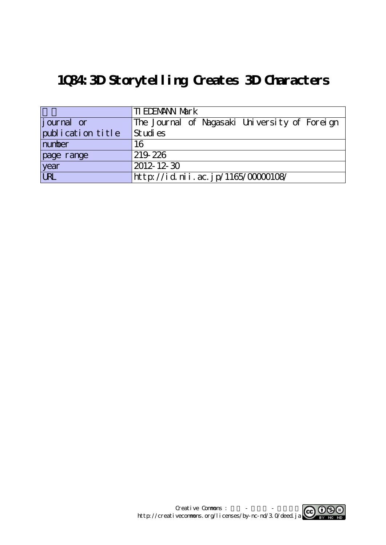## **1Q84:3D Storytelling Creates 3D Characters**

|                    | <b>TI EDEMANN Mark</b>                        |
|--------------------|-----------------------------------------------|
| <i>j</i> ournal or | The Journal of Nagasaki University of Foreign |
| publication title  | St udi es                                     |
| number             | 16                                            |
| page range         | 219 226                                       |
| year<br>URL        | $2012 - 12 - 30$                              |
|                    | http://id.nii.ac.jp/1165/00000108/            |

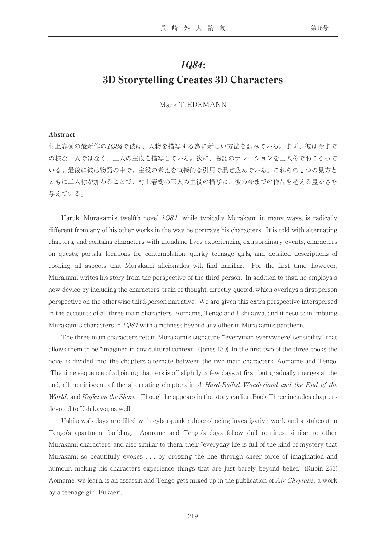## 1Q84: 3D Storytelling Creates 3D Characters

Mark TIEDEMANN

## Abstract

村上春樹の最新作の1Q84で彼は、人物を描写する為に新しい方法を試みている。まず、彼は今まで の様な一人ではなく、三人の主役を描写している。次に、物語のナレーションを三人称でおこなって いる。最後に彼は物語の中で、主役の考えを直接的な引用で混ぜ込んでいる。これらの2つの見方と ともに二人称が加わることで、村上春樹の三人の主役の描写に、彼の今までの作品を超える豊かさを 与えている。

Haruki Murakami's twelfth novel  $1Q84$ , while typically Murakami in many ways, is radically different from any of his other works in the way he portrays his characters. It is told with alternating chapters, and contains characters with mundane lives experiencing extraordinary events, characters on quests, portals, locations for contemplation, quirky teenage girls, and detailed descriptions of cooking, all aspects that Murakami aficionados will find familiar. For the first time, however, Murakami writes his story from the perspective of the third person. In addition to that, he employs a new device by including the characters' train of thought, directly quoted, which overlays a first-person perspective on the otherwise third-person narrative. We are given this extra perspective interspersed in the accounts of all three main characters, Aomame, Tengo and Ushikawa, and it results in imbuing Murakami's characters in 1Q84 with a richness beyond any other in Murakami's pantheon.

The three main characters retain Murakami's signature "'everyman everywhere' sensibility" that allows them to be "imagined in any cultural context." (Jones 130) In the first two of the three books the novel is divided into, the chapters alternate between the two main characters, Aomame and Tengo. The time sequence of adjoining chapters is off slightly, a few days at first, but gradually merges at the end, all reminiscent of the alternating chapters in A Hard-Boiled Wonderland and the End of the World, and Kafka on the Shore. Though he appears in the story earlier, Book Three includes chapters devoted to Ushikawa, as well.

Ushikawa's days are filled with cyber-punk rubber-shoeing investigative work and a stakeout in Tengo's apartment building. Aomame and Tengo's days follow dull routines, similar to other Murakami characters, and also similar to them, their "everyday life is full of the kind of mystery that Murakami so beautifully evokes . . . by crossing the line through sheer force of imagination and humour, making his characters experience things that are just barely beyond belief." (Rubin 253) Aomame, we learn, is an assassin and Tengo gets mixed up in the publication of  $Air$  Chrysalis, a work by a teenage girl, Fukaeri.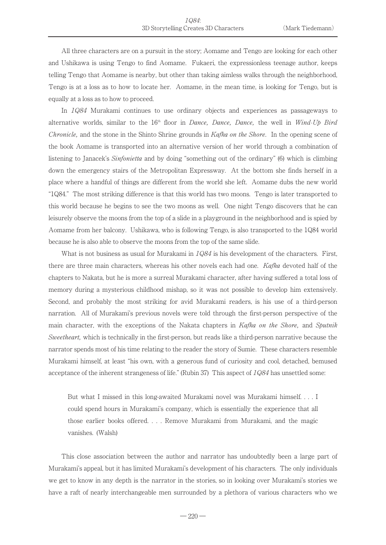All three characters are on a pursuit in the story; Aomame and Tengo are looking for each other and Ushikawa is using Tengo to find Aomame. Fukaeri, the expressionless teenage author, keeps telling Tengo that Aomame is nearby, but other than taking aimless walks through the neighborhood, Tengo is at a loss as to how to locate her. Aomame, in the mean time, is looking for Tengo, but is equally at a loss as to how to proceed.

In 1Q84 Murakami continues to use ordinary objects and experiences as passageways to alternative worlds, similar to the  $16<sup>th</sup>$  floor in *Dance*, *Dance*, *Dance*, the well in *Wind-Up Bird* Chronicle, and the stone in the Shinto Shrine grounds in Kafka on the Shore. In the opening scene of the book Aomame is transported into an alternative version of her world through a combination of listening to Janacek's *Sinfonietta* and by doing "something out of the ordinary" (6) which is climbing down the emergency stairs of the Metropolitan Expressway. At the bottom she finds herself in a place where a handful of things are different from the world she left. Aomame dubs the new world "1Q84." The most striking difference is that this world has two moons. Tengo is later transported to this world because he begins to see the two moons as well. One night Tengo discovers that he can leisurely observe the moons from the top of a slide in a playground in the neighborhood and is spied by Aomame from her balcony. Ushikawa, who is following Tengo, is also transported to the 1Q84 world because he is also able to observe the moons from the top of the same slide.

What is not business as usual for Murakami in  $1Q84$  is his development of the characters. First, there are three main characters, whereas his other novels each had one. Kafka devoted half of the chapters to Nakata, but he is more a surreal Murakami character, after having suffered a total loss of memory during a mysterious childhood mishap, so it was not possible to develop him extensively. Second, and probably the most striking for avid Murakami readers, is his use of a third-person narration. All of Murakami's previous novels were told through the first-person perspective of the main character, with the exceptions of the Nakata chapters in Kafka on the Shore, and Sputnik Sweetheart, which is technically in the first-person, but reads like a third-person narrative because the narrator spends most of his time relating to the reader the story of Sumie. These characters resemble Murakami himself, at least "his own, with a generous fund of curiosity and cool, detached, bemused acceptance of the inherent strangeness of life." (Rubin 37) This aspect of  $1Q84$  has unsettled some:

But what I missed in this long-awaited Murakami novel was Murakami himself.... I could spend hours in Murakami's company, which is essentially the experience that all those earlier books offered. . . . Remove Murakami from Murakami, and the magic vanishes. (Walsh)

This close association between the author and narrator has undoubtedly been a large part of Murakami's appeal, but it has limited Murakami's development of his characters. The only individuals we get to know in any depth is the narrator in the stories, so in looking over Murakami's stories we have a raft of nearly interchangeable men surrounded by a plethora of various characters who we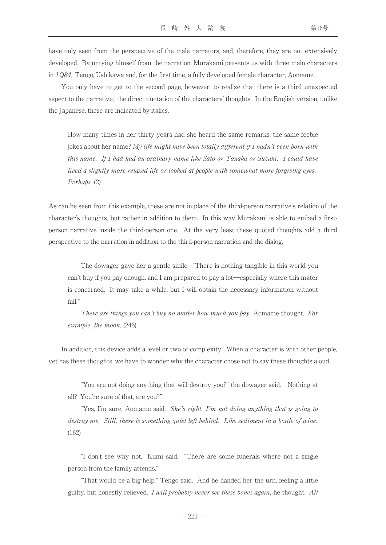have only seen from the perspective of the male narrators, and, therefore, they are not extensively developed. By untying himself from the narration, Murakami presents us with three main characters in 1Q84, Tengo, Ushikawa and, for the first time, a fully developed female character, Aomame.

You only have to get to the second page, however, to realize that there is a third unexpected aspect to the narrative: the direct quotation of the characters' thoughts. In the English version, unlike the Japanese, these are indicated by italics.

How many times in her thirty years had she heard the same remarks, the same feeble jokes about her name? My life might have been totally different if I hadn't been born with this name. If I had had an ordinary name like Sato or Tanaka or Suzuki. I could have lived a slightly more relaxed life or looked at people with somewhat more forgiving eyes. Perhaps. (2)

As can be seen from this example, these are not in place of the third-person narrative's relation of the character's thoughts, but rather in addition to them. In this way Murakami is able to embed a firstperson narrative inside the third-person one. At the very least these quoted thoughts add a third perspective to the narration in addition to the third-person narration and the dialog.

The dowager gave her a gentle smile. "There is nothing tangible in this world you can't buy if you pay enough, and I am prepared to pay a lot―especially where this mater is concerned. It may take a while, but I will obtain the necessary information without fail."

There are things you can't buy no matter how much you pay, Aomame thought. For example, the moon. (246)

In addition, this device adds a level or two of complexity. When a character is with other people, yet has these thoughts, we have to wonder why the character chose not to say these thoughts aloud.

"You are not doing anything that will destroy you?" the dowager said. "Nothing at all? You're sure of that, are you?"

"Yes, I'm sure, Aomame said. She's right. I'm not doing anything that is going to destroy me. Still, there is something quiet left behind. Like sediment in a bottle of wine. (162)

"I don't see why not," Kumi said. "There are some funerals where not a single person from the family attends."

"That would be a big help," Tengo said. And he handed her the urn, feeling a little guilty, but honestly relieved. I will probably never see these bones again, he thought. All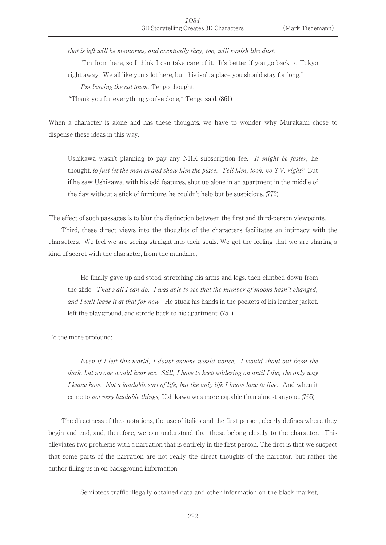that is left will be memories, and eventually they, too, will vanish like dust.

"I'm from here, so I think I can take care of it. It's better if you go back to Tokyo right away. We all like you a lot here, but this isn't a place you should stay for long."

I'm leaving the cat town, Tengo thought.

"Thank you for everything you've done," Tengo said. (861)

When a character is alone and has these thoughts, we have to wonder why Murakami chose to dispense these ideas in this way.

Ushikawa wasn't planning to pay any NHK subscription fee. It might be faster, he thought, to just let the man in and show him the place. Tell him, look, no TV, right? But if he saw Ushikawa, with his odd features, shut up alone in an apartment in the middle of the day without a stick of furniture, he couldn't help but be suspicious. (772)

The effect of such passages is to blur the distinction between the first and third-person viewpoints.

Third, these direct views into the thoughts of the characters facilitates an intimacy with the characters. We feel we are seeing straight into their souls. We get the feeling that we are sharing a kind of secret with the character, from the mundane,

He finally gave up and stood, stretching his arms and legs, then climbed down from the slide. That's all I can do. I was able to see that the number of moons hasn't changed, and I will leave it at that for now. He stuck his hands in the pockets of his leather jacket, left the playground, and strode back to his apartment. (751)

To the more profound:

Even if I left this world, I doubt anyone would notice. I would shout out from the dark, but no one would hear me. Still, I have to keep soldering on until I die, the only way I know how. Not a laudable sort of life, but the only life I know how to live. And when it came to *not very laudable things*, Ushikawa was more capable than almost anyone. (765)

The directness of the quotations, the use of italics and the first person, clearly defines where they begin and end, and, therefore, we can understand that these belong closely to the character. This alleviates two problems with a narration that is entirely in the first-person. The first is that we suspect that some parts of the narration are not really the direct thoughts of the narrator, but rather the author filling us in on background information:

Semiotecs traffic illegally obtained data and other information on the black market,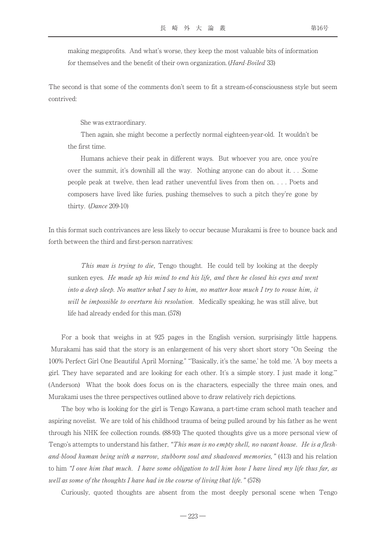making megaprofits. And what's worse, they keep the most valuable bits of information for themselves and the benefit of their own organization. (Hard-Boiled 33)

The second is that some of the comments don't seem to fit a stream-of-consciousness style but seem contrived:

She was extraordinary.

Then again, she might become a perfectly normal eighteen-year-old. It wouldn't be the first time.

Humans achieve their peak in different ways. But whoever you are, once you're over the summit, it's downhill all the way. Nothing anyone can do about it. . . .Some people peak at twelve, then lead rather uneventful lives from then on. . . . Poets and composers have lived like furies, pushing themselves to such a pitch they're gone by thirty. (Dance 209-10)

In this format such contrivances are less likely to occur because Murakami is free to bounce back and forth between the third and first-person narratives:

This man is trying to die, Tengo thought. He could tell by looking at the deeply sunken eyes. He made up his mind to end his life, and then he closed his eyes and went into a deep sleep. No matter what I say to him, no matter how much I try to rouse him, it will be impossible to overturn his resolution. Medically speaking, he was still alive, but life had already ended for this man. (578)

For a book that weighs in at 925 pages in the English version, surprisingly little happens. Murakami has said that the story is an enlargement of his very short short story "On Seeing the 100% Perfect Girl One Beautiful April Morning." "'Basically, it's the same,' he told me. ʻA boy meets a girl. They have separated and are looking for each other. It's a simple story. I just made it long.'" (Anderson) What the book does focus on is the characters, especially the three main ones, and Murakami uses the three perspectives outlined above to draw relatively rich depictions.

The boy who is looking for the girl is Tengo Kawana, a part-time cram school math teacher and aspiring novelist. We are told of his childhood trauma of being pulled around by his father as he went through his NHK fee collection rounds. (88-93) The quoted thoughts give us a more personal view of Tengo's attempts to understand his father, "This man is no empty shell, no vacant house. He is a fleshand-blood human being with a narrow, stubborn soul and shadowed memories," (413) and his relation to him "I owe him that much. I have some obligation to tell him how I have lived my life thus far, as well as some of the thoughts I have had in the course of living that life." (578)

Curiously, quoted thoughts are absent from the most deeply personal scene when Tengo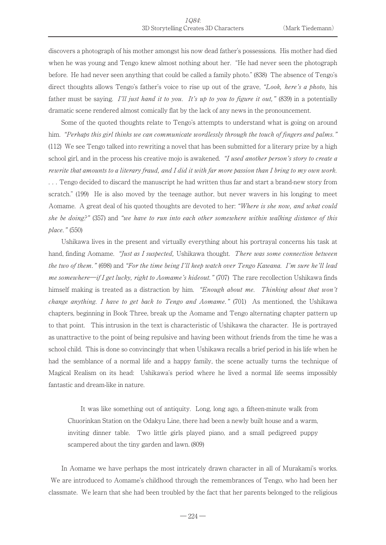discovers a photograph of his mother amongst his now dead father's possessions. His mother had died when he was young and Tengo knew almost nothing about her. "He had never seen the photograph before. He had never seen anything that could be called a family photo." (838) The absence of Tengo's direct thoughts allows Tengo's father's voice to rise up out of the grave, "Look, here's a photo, his father must be saying. I'll just hand it to you. It's up to you to figure it out,"  $(839)$  in a potentially dramatic scene rendered almost comically flat by the lack of any news in the pronouncement.

Some of the quoted thoughts relate to Tengo's attempts to understand what is going on around him. "Perhaps this girl thinks we can communicate wordlessly through the touch of fingers and palms." (112) We see Tengo talked into rewriting a novel that has been submitted for a literary prize by a high school girl, and in the process his creative mojo is awakened. "I used another person's story to create a rewrite that amounts to a literary fraud, and I did it with far more passion than I bring to my own work. . . . Tengo decided to discard the manuscript he had written thus far and start a brand-new story from scratch." (199) He is also moved by the teenage author, but never wavers in his longing to meet Aomame. A great deal of his quoted thoughts are devoted to her: "Where is she now, and what could she be doing?" (357) and "we have to run into each other somewhere within walking distance of this place." (550)

Ushikawa lives in the present and virtually everything about his portrayal concerns his task at hand, finding Aomame. "*Just as I suspected*, Ushikawa thought. *There was some connection between* the two of them." (698) and "For the time being I'll keep watch over Tengo Kawana. I'm sure he'll lead me somewhere—if I get lucky, right to Aomame's hideout." (707) The rare recollection Ushikawa finds himself making is treated as a distraction by him. "Enough about me. Thinking about that won't change anything. I have to get back to Tengo and Aomame." (701) As mentioned, the Ushikawa chapters, beginning in Book Three, break up the Aomame and Tengo alternating chapter pattern up to that point. This intrusion in the text is characteristic of Ushikawa the character. He is portrayed as unattractive to the point of being repulsive and having been without friends from the time he was a school child. This is done so convincingly that when Ushikawa recalls a brief period in his life when he had the semblance of a normal life and a happy family, the scene actually turns the technique of Magical Realism on its head: Ushikawa's period where he lived a normal life seems impossibly fantastic and dream-like in nature.

It was like something out of antiquity. Long, long ago, a fifteen-minute walk from Chuorinkan Station on the Odakyu Line, there had been a newly built house and a warm, inviting dinner table. Two little girls played piano, and a small pedigreed puppy scampered about the tiny garden and lawn. (809)

In Aomame we have perhaps the most intricately drawn character in all of Murakami's works. We are introduced to Aomame's childhood through the remembrances of Tengo, who had been her classmate. We learn that she had been troubled by the fact that her parents belonged to the religious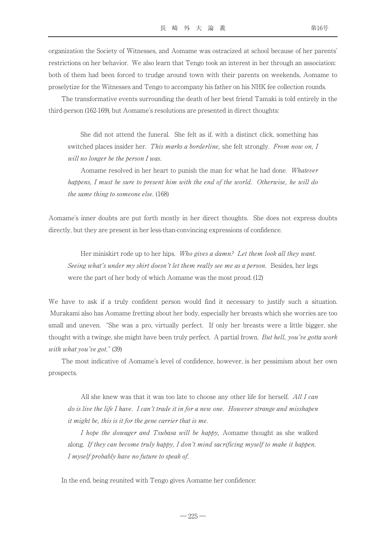organization the Society of Witnesses, and Aomame was ostracized at school because of her parents' restrictions on her behavior. We also learn that Tengo took an interest in her through an association: both of them had been forced to trudge around town with their parents on weekends, Aomame to proselytize for the Witnesses and Tengo to accompany his father on his NHK fee collection rounds.

The transformative events surrounding the death of her best friend Tamaki is told entirely in the third-person (162-169), but Aomame's resolutions are presented in direct thoughts:

She did not attend the funeral. She felt as if, with a distinct click, something has switched places insider her. This marks a borderline, she felt strongly. From now on, I will no longer be the person I was.

Aomame resolved in her heart to punish the man for what he had done. Whatever happens, I must be sure to present him with the end of the world. Otherwise, he will do the same thing to someone else. (168)

Aomame's inner doubts are put forth mostly in her direct thoughts. She does not express doubts directly, but they are present in her less-than-convincing expressions of confidence.

Her miniskirt rode up to her hips. Who gives a damn? Let them look all they want. Seeing what's under my skirt doesn't let them really see me as a person. Besides, her legs were the part of her body of which Aomame was the most proud. (12)

We have to ask if a truly confident person would find it necessary to justify such a situation. Murakami also has Aomame fretting about her body, especially her breasts which she worries are too small and uneven. "She was a pro, virtually perfect. If only her breasts were a little bigger, she thought with a twinge, she might have been truly perfect. A partial frown. But hell, you've gotta work with what you've got." (39)

The most indicative of Aomame's level of confidence, however, is her pessimism about her own prospects.

All she knew was that it was too late to choose any other life for herself. All I can do is live the life I have. I can't trade it in for a new one. However strange and misshapen it might be, this is it for the gene carrier that is me.

I hope the dowager and Tsubasa will be happy, Aomame thought as she walked along. If they can become truly happy, I don't mind sacrificing myself to make it happen. I myself probably have no future to speak of.

In the end, being reunited with Tengo gives Aomame her confidence: